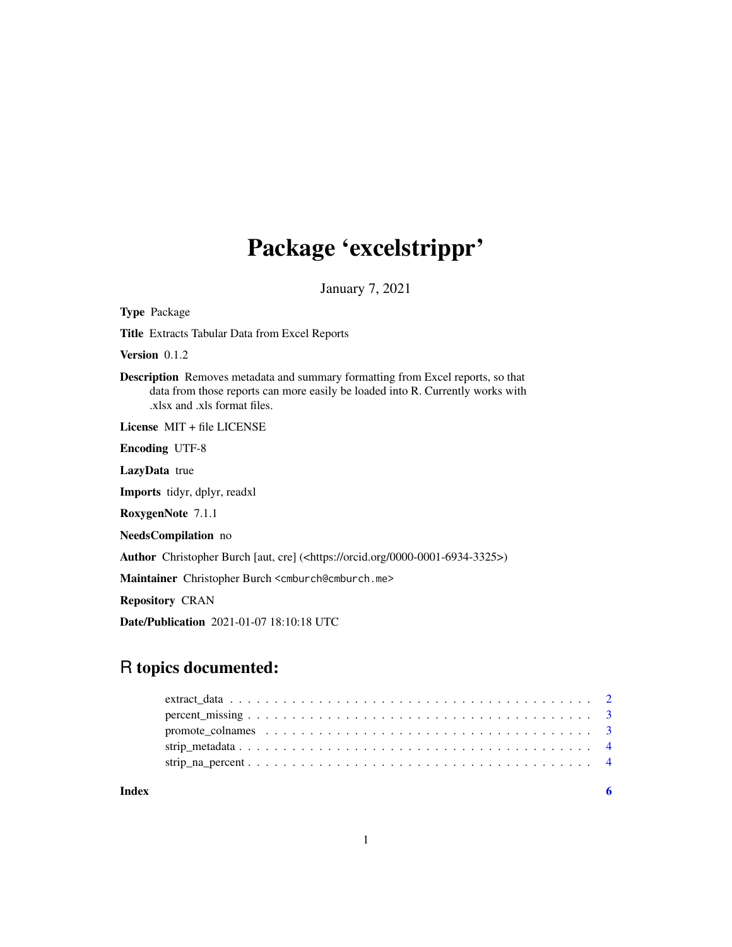## Package 'excelstrippr'

January 7, 2021

Type Package Title Extracts Tabular Data from Excel Reports Version 0.1.2 Description Removes metadata and summary formatting from Excel reports, so that data from those reports can more easily be loaded into R. Currently works with .xlsx and .xls format files. License MIT + file LICENSE Encoding UTF-8 LazyData true Imports tidyr, dplyr, readxl RoxygenNote 7.1.1 NeedsCompilation no Author Christopher Burch [aut, cre] (<https://orcid.org/0000-0001-6934-3325>) Maintainer Christopher Burch <cmburch@cmburch.me> Repository CRAN Date/Publication 2021-01-07 18:10:18 UTC

### R topics documented:

| Index |  |
|-------|--|
|       |  |
|       |  |
|       |  |
|       |  |
|       |  |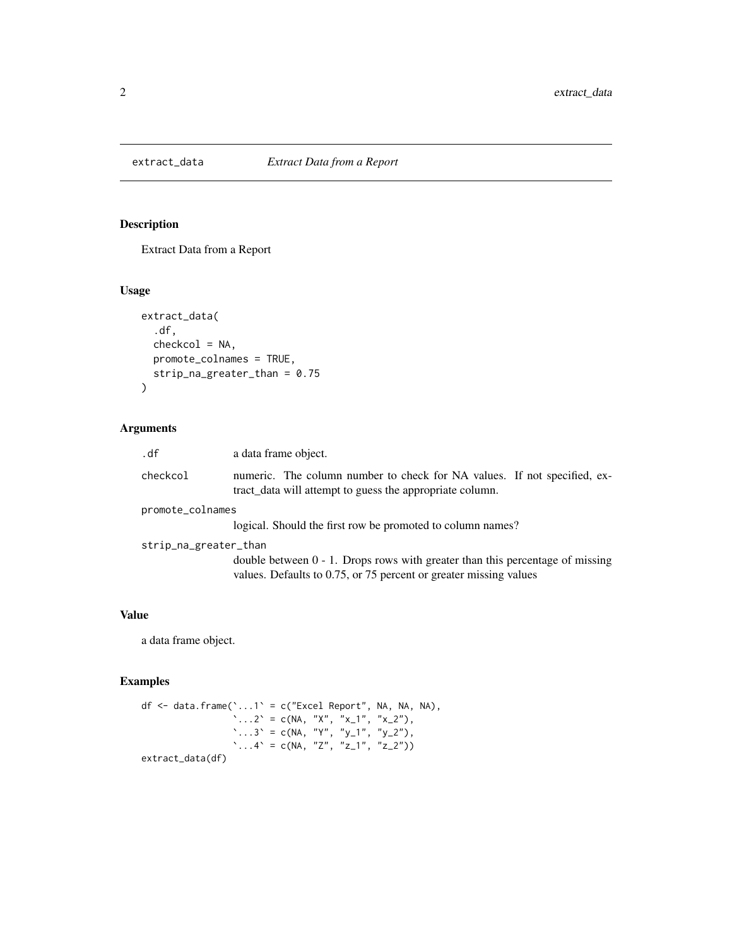<span id="page-1-0"></span>

#### Description

Extract Data from a Report

#### Usage

```
extract_data(
  .df,
  checkcol = NA,
  promote_colnames = TRUE,
  strip_na_greater_than = 0.75
\mathcal{L}
```
#### Arguments

| .df                   | a data frame object.                                                                                                                                  |  |  |  |
|-----------------------|-------------------------------------------------------------------------------------------------------------------------------------------------------|--|--|--|
| checkcol              | numeric. The column number to check for NA values. If not specified, ex-<br>tract_data will attempt to guess the appropriate column.                  |  |  |  |
| promote_colnames      |                                                                                                                                                       |  |  |  |
|                       | logical. Should the first row be promoted to column names?                                                                                            |  |  |  |
| strip_na_greater_than |                                                                                                                                                       |  |  |  |
|                       | double between $0 - 1$ . Drops rows with greater than this percentage of missing<br>values. Defaults to 0.75, or 75 percent or greater missing values |  |  |  |

#### Value

a data frame object.

#### Examples

```
df \le data.frame(`...1` = c("Excel Report", NA, NA, NA),
                   \ldots...2\prime = c(NA, "X", "x_1", "x_2"),
                   \ldots 3 = c(NA, "Y", "y_1", "y_2"),
                   `...4` = c(NA, "Z", "z_1", "z_2"))
extract_data(df)
```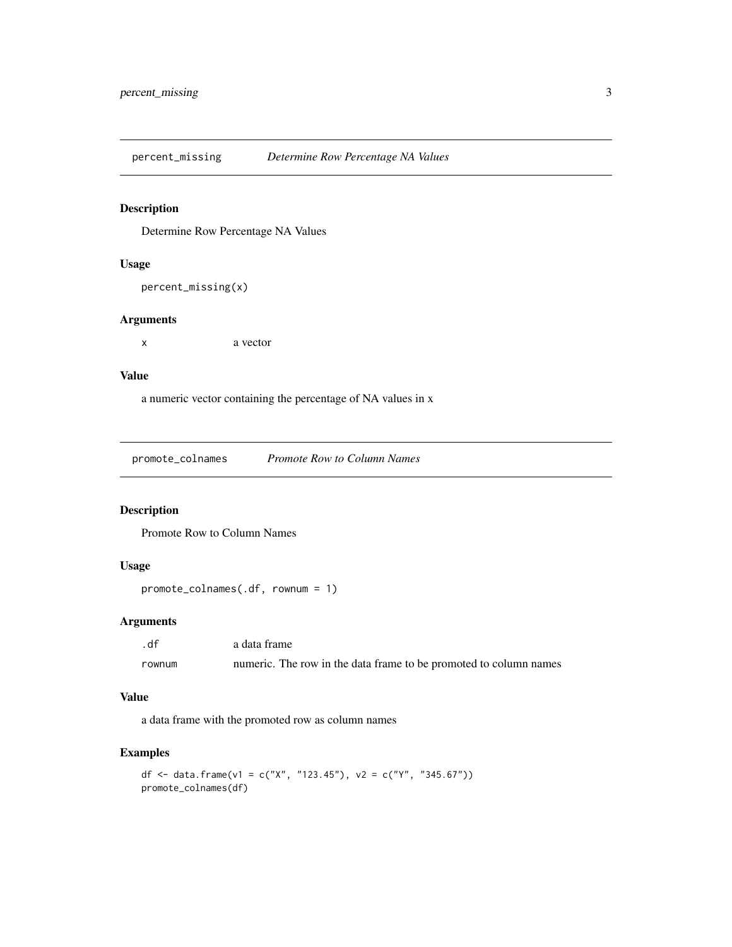<span id="page-2-0"></span>percent\_missing *Determine Row Percentage NA Values*

#### Description

Determine Row Percentage NA Values

#### Usage

```
percent_missing(x)
```
#### Arguments

x a vector

#### Value

a numeric vector containing the percentage of NA values in x

promote\_colnames *Promote Row to Column Names*

#### Description

Promote Row to Column Names

#### Usage

```
promote_colnames(.df, rownum = 1)
```
#### Arguments

| .df    | a data frame                                                      |
|--------|-------------------------------------------------------------------|
| rownum | numeric. The row in the data frame to be promoted to column names |

#### Value

a data frame with the promoted row as column names

#### Examples

```
df <- data.frame(v1 = c("X", "123.45"), v2 = c("Y", "345.67"))
promote_colnames(df)
```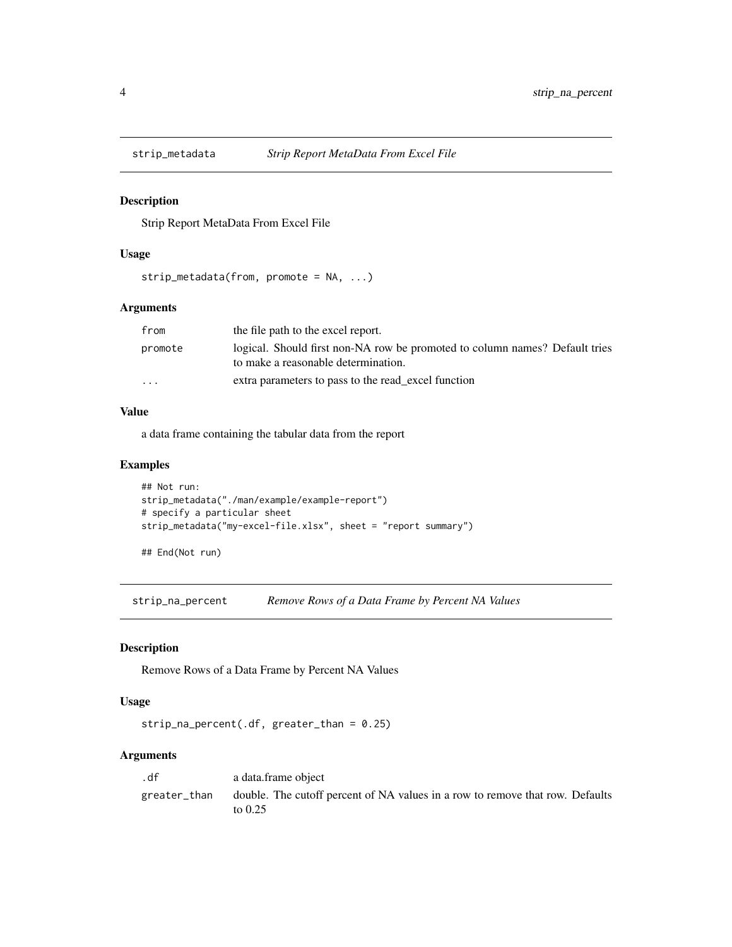<span id="page-3-0"></span>

#### Description

Strip Report MetaData From Excel File

#### Usage

```
strip_metadata(from, promote = NA, ...)
```
#### Arguments

| from                    | the file path to the excel report.                                          |
|-------------------------|-----------------------------------------------------------------------------|
| promote                 | logical. Should first non-NA row be promoted to column names? Default tries |
|                         | to make a reasonable determination.                                         |
| $\cdot$ $\cdot$ $\cdot$ | extra parameters to pass to the read_excel function                         |

#### Value

a data frame containing the tabular data from the report

#### Examples

```
## Not run:
strip_metadata("./man/example/example-report")
# specify a particular sheet
strip_metadata("my-excel-file.xlsx", sheet = "report summary")
```
## End(Not run)

strip\_na\_percent *Remove Rows of a Data Frame by Percent NA Values*

#### Description

Remove Rows of a Data Frame by Percent NA Values

#### Usage

```
strip_na_percent(.df, greater_than = 0.25)
```
#### Arguments

| .df          | a data.frame object                                                                        |
|--------------|--------------------------------------------------------------------------------------------|
| greater_than | double. The cutoff percent of NA values in a row to remove that row. Defaults<br>to $0.25$ |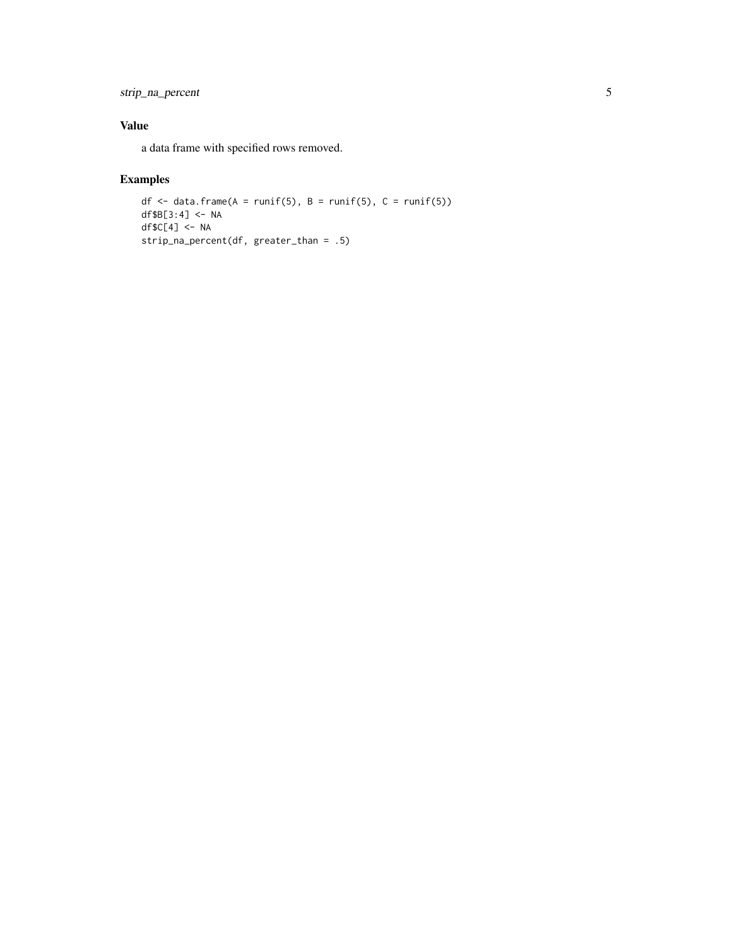strip\_na\_percent 5

#### Value

a data frame with specified rows removed.

#### Examples

```
df \le data.frame(A = runif(5), B = runif(5), C = runif(5))
df$B[3:4] <- NA
df$C[4] <- NA
strip_na_percent(df, greater_than = .5)
```